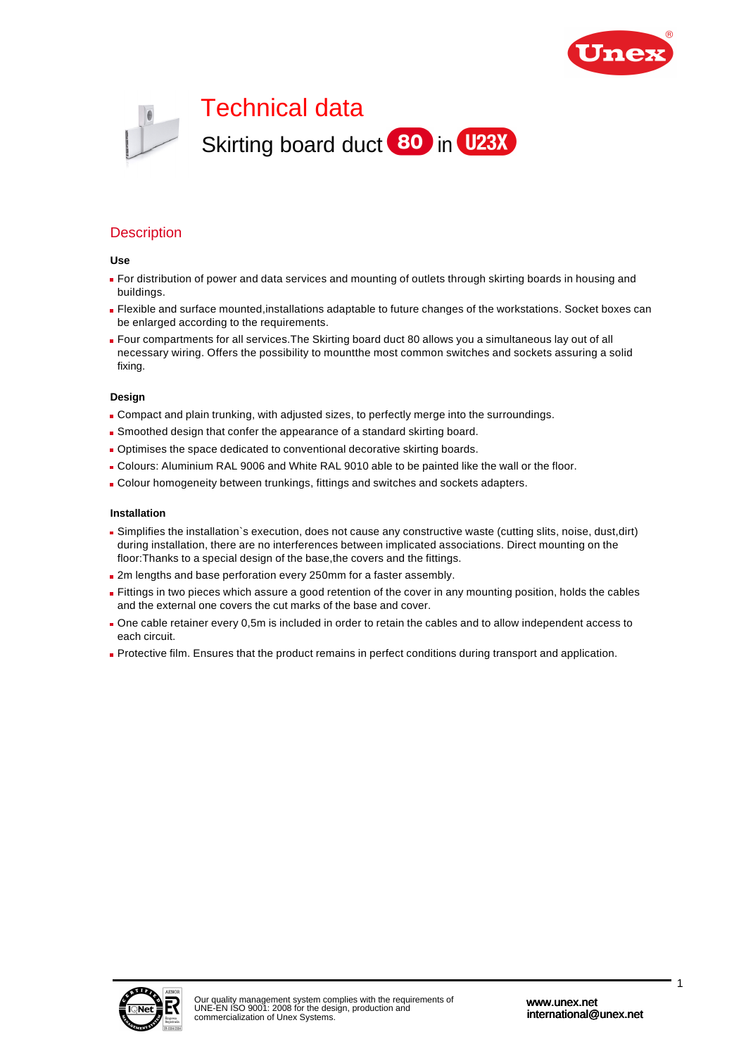



## **Description**

#### **Use**

- For distribution of power and data services and mounting of outlets through skirting boards in housing and buildings.
- Flexible and surface mounted,installations adaptable to future changes of the workstations. Socket boxes can be enlarged according to the requirements.
- Four compartments for all services.The Skirting board duct 80 allows you a simultaneous lay out of all necessary wiring. Offers the possibility to mountthe most common switches and sockets assuring a solid fixing.

#### **Design**

- Compact and plain trunking, with adjusted sizes, to perfectly merge into the surroundings.
- Smoothed design that confer the appearance of a standard skirting board.
- Optimises the space dedicated to conventional decorative skirting boards.
- Colours: Aluminium RAL 9006 and White RAL 9010 able to be painted like the wall or the floor.
- Colour homogeneity between trunkings, fittings and switches and sockets adapters.

#### **Installation**

- Simplifies the installation`s execution, does not cause any constructive waste (cutting slits, noise, dust,dirt) during installation, there are no interferences between implicated associations. Direct mounting on the floor:Thanks to a special design of the base,the covers and the fittings.
- 2m lengths and base perforation every 250mm for a faster assembly.
- **Fittings in two pieces which assure a good retention of the cover in any mounting position, holds the cables** and the external one covers the cut marks of the base and cover.
- One cable retainer every 0,5m is included in order to retain the cables and to allow independent access to each circuit.
- Protective film. Ensures that the product remains in perfect conditions during transport and application.

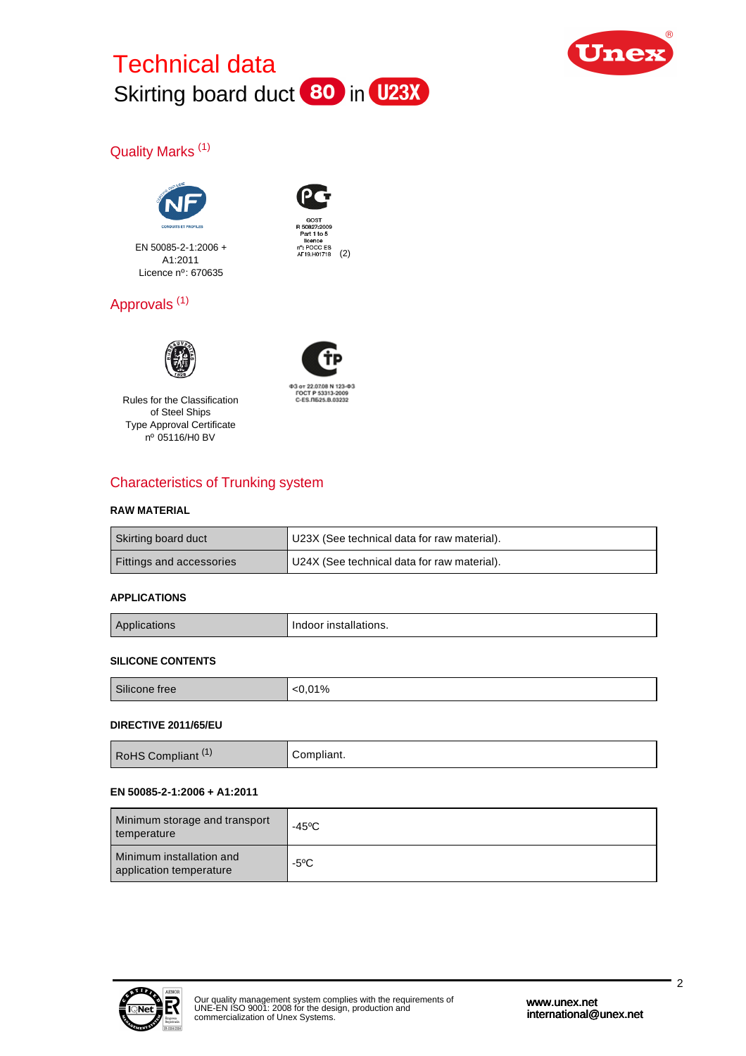



# Quality Marks (1)



EN 50085-2-1:2006 + A1:2011 Licence nº: 670635



Part 1 to 5 licence<br>
n°: POCC ES<br>
AF19.H01718 (2)

# Approvals (1)



Rules for the Classification of Steel Ships Type Approval Certificate nº 05116/H0 BV



# Characteristics of Trunking system

### **RAW MATERIAL**

| Skirting board duct      | U23X (See technical data for raw material). |
|--------------------------|---------------------------------------------|
| Fittings and accessories | U24X (See technical data for raw material). |

## **APPLICATIONS**

| <b>HUOHS</b> | ndoor installaf'<br>. installations. |
|--------------|--------------------------------------|
|--------------|--------------------------------------|

### **SILICONE CONTENTS**

| CIII<br>Silicone free | 01% |
|-----------------------|-----|
|                       |     |

### **DIRECTIVE 2011/65/EU**

| <b>RoHS Compliant</b><br>Compliant. |
|-------------------------------------|
|-------------------------------------|

### **EN 50085-2-1:2006 + A1:2011**

| Minimum storage and transport<br>temperature        | -45°C          |
|-----------------------------------------------------|----------------|
| Minimum installation and<br>application temperature | $-5^{\circ}$ C |

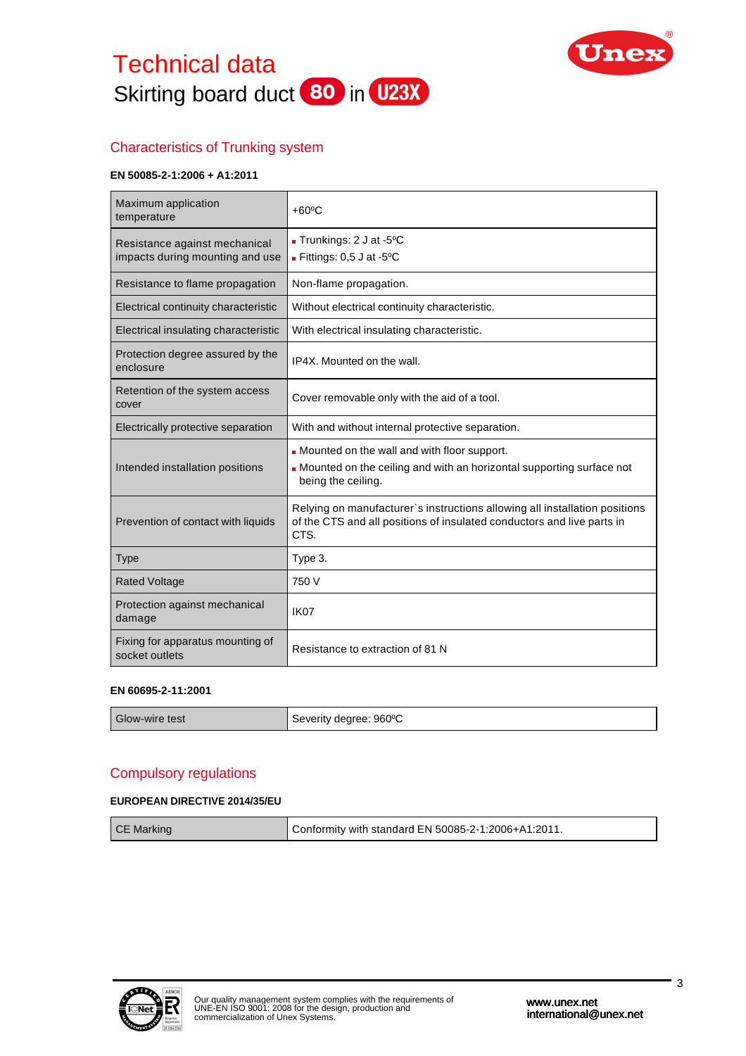



# Characteristics of Trunking system

### **EN 50085-2-1:2006 + A1:2011**

| Maximum application<br>temperature                               | $+60^{\circ}$ C                                                                                                                                              |  |
|------------------------------------------------------------------|--------------------------------------------------------------------------------------------------------------------------------------------------------------|--|
| Resistance against mechanical<br>impacts during mounting and use | - Trunkings: 2 J at -5°C<br>- Fittings: $0,5$ J at -5°C                                                                                                      |  |
| Resistance to flame propagation                                  | Non-flame propagation.                                                                                                                                       |  |
| Electrical continuity characteristic                             | Without electrical continuity characteristic.                                                                                                                |  |
| Electrical insulating characteristic                             | With electrical insulating characteristic.                                                                                                                   |  |
| Protection degree assured by the<br>enclosure                    | IP4X. Mounted on the wall.                                                                                                                                   |  |
| Retention of the system access<br>cover                          | Cover removable only with the aid of a tool.                                                                                                                 |  |
| Electrically protective separation                               | With and without internal protective separation.                                                                                                             |  |
| Intended installation positions                                  | - Mounted on the wall and with floor support.<br>• Mounted on the ceiling and with an horizontal supporting surface not<br>being the ceiling.                |  |
| Prevention of contact with liquids                               | Relying on manufacturer's instructions allowing all installation positions<br>of the CTS and all positions of insulated conductors and live parts in<br>CTS. |  |
| <b>Type</b>                                                      | Type 3.                                                                                                                                                      |  |
| <b>Rated Voltage</b>                                             | 750 V                                                                                                                                                        |  |
| Protection against mechanical<br>damage                          | IK <sub>07</sub>                                                                                                                                             |  |
| Fixing for apparatus mounting of<br>socket outlets               | Resistance to extraction of 81 N                                                                                                                             |  |

#### **EN 60695-2-11:2001**

| $\sim$<br>Glow-wire test | $960^{\circ}$ C<br>⊰everitv<br>dearee:<br>OCVUILLY |
|--------------------------|----------------------------------------------------|
|                          |                                                    |

## Compulsory regulations

### **EUROPEAN DIRECTIVE 2014/35/EU**

| <b>CE Marking</b> | Conformity with standard EN 50085-2-1:2006+A1:2011. |
|-------------------|-----------------------------------------------------|
|                   |                                                     |

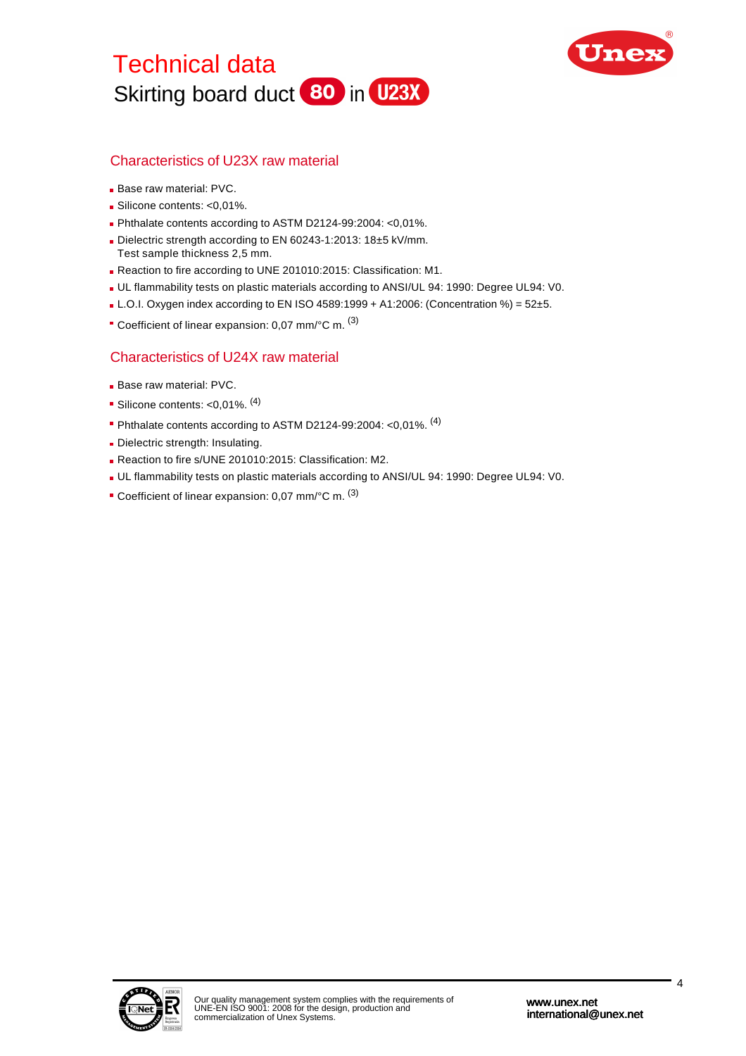



## Characteristics of U23X raw material

- Base raw material: PVC.
- Silicone contents: <0,01%.
- Phthalate contents according to ASTM D2124-99:2004: <0,01%.
- Dielectric strength according to EN 60243-1:2013: 18±5 kV/mm. Test sample thickness 2,5 mm.
- Reaction to fire according to UNE 201010:2015: Classification: M1.
- UL flammability tests on plastic materials according to ANSI/UL 94: 1990: Degree UL94: V0.
- $\blacksquare$  L.O.I. Oxygen index according to EN ISO 4589:1999 + A1:2006: (Concentration %) = 52±5.
- Coefficient of linear expansion: 0,07 mm/°C m. <sup>(3)</sup>

## Characteristics of U24X raw material

- **Base raw material: PVC.**
- Silicone contents: <0,01%. (4)
- Phthalate contents according to ASTM D2124-99:2004: <0,01%.  $(4)$
- Dielectric strength: Insulating.
- Reaction to fire s/UNE 201010:2015: Classification: M2.
- UL flammability tests on plastic materials according to ANSI/UL 94: 1990: Degree UL94: V0.
- Coefficient of linear expansion: 0,07 mm/°C m. <sup>(3)</sup>